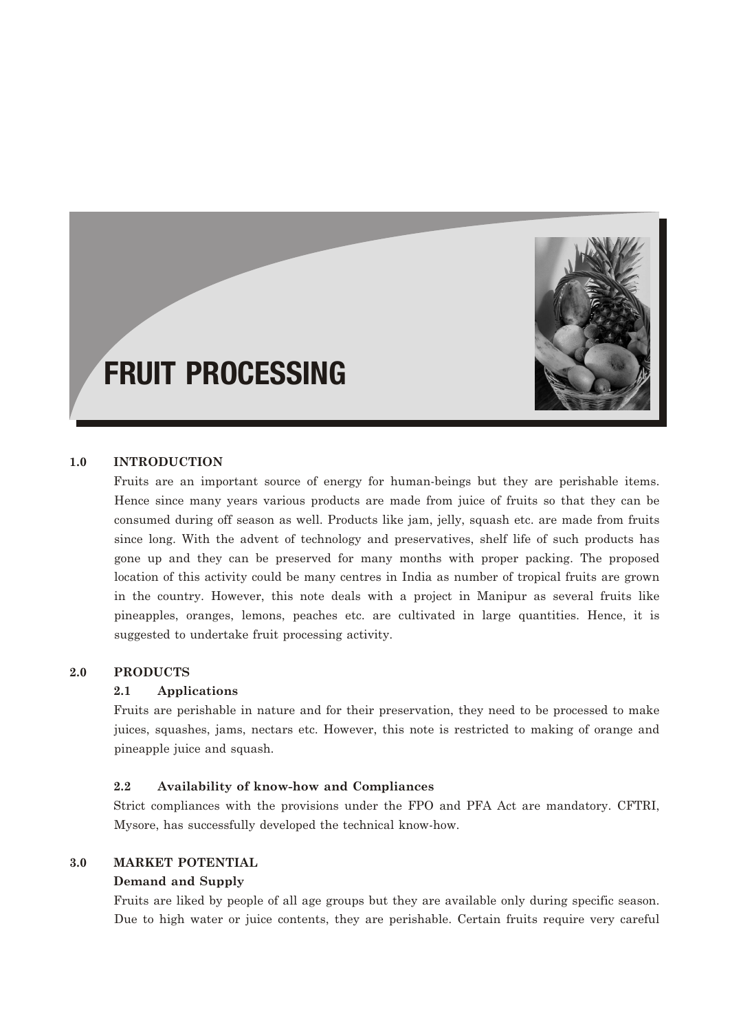

# FRUIT PROCESSING

## **1.0 INTRODUCTION**

Fruits are an important source of energy for human-beings but they are perishable items. Hence since many years various products are made from juice of fruits so that they can be consumed during off season as well. Products like jam, jelly, squash etc. are made from fruits since long. With the advent of technology and preservatives, shelf life of such products has gone up and they can be preserved for many months with proper packing. The proposed location of this activity could be many centres in India as number of tropical fruits are grown in the country. However, this note deals with a project in Manipur as several fruits like pineapples, oranges, lemons, peaches etc. are cultivated in large quantities. Hence, it is suggested to undertake fruit processing activity.

#### **2.0 PRODUCTS**

#### **2.1 Applications**

Fruits are perishable in nature and for their preservation, they need to be processed to make juices, squashes, jams, nectars etc. However, this note is restricted to making of orange and pineapple juice and squash.

#### **2.2 Availability of know-how and Compliances**

Strict compliances with the provisions under the FPO and PFA Act are mandatory. CFTRI, Mysore, has successfully developed the technical know-how.

### **3.0 MARKET POTENTIAL**

#### **Demand and Supply**

Fruits are liked by people of all age groups but they are available only during specific season. Due to high water or juice contents, they are perishable. Certain fruits require very careful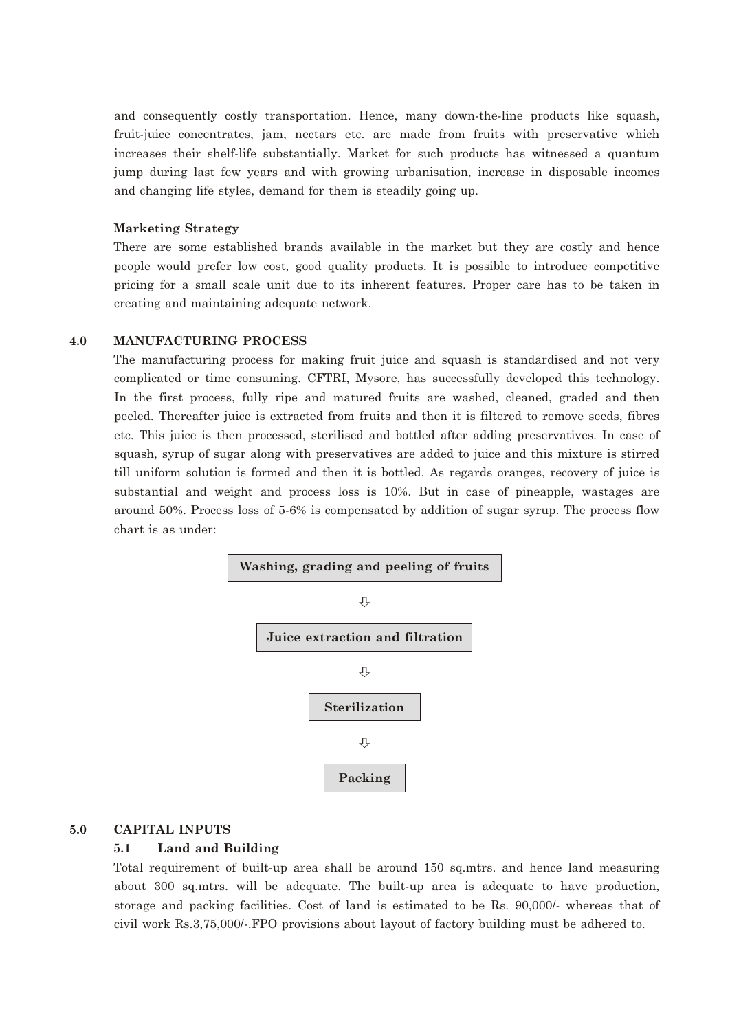and consequently costly transportation. Hence, many down-the-line products like squash, fruit-juice concentrates, jam, nectars etc. are made from fruits with preservative which increases their shelf-life substantially. Market for such products has witnessed a quantum jump during last few years and with growing urbanisation, increase in disposable incomes and changing life styles, demand for them is steadily going up.

#### **Marketing Strategy**

There are some established brands available in the market but they are costly and hence people would prefer low cost, good quality products. It is possible to introduce competitive pricing for a small scale unit due to its inherent features. Proper care has to be taken in creating and maintaining adequate network.

#### **4.0 MANUFACTURING PROCESS**

The manufacturing process for making fruit juice and squash is standardised and not very complicated or time consuming. CFTRI, Mysore, has successfully developed this technology. In the first process, fully ripe and matured fruits are washed, cleaned, graded and then peeled. Thereafter juice is extracted from fruits and then it is filtered to remove seeds, fibres etc. This juice is then processed, sterilised and bottled after adding preservatives. In case of squash, syrup of sugar along with preservatives are added to juice and this mixture is stirred till uniform solution is formed and then it is bottled. As regards oranges, recovery of juice is substantial and weight and process loss is 10%. But in case of pineapple, wastages are around 50%. Process loss of 5-6% is compensated by addition of sugar syrup. The process flow chart is as under:



#### **5.0 CAPITAL INPUTS**

#### **5.1 Land and Building**

Total requirement of built-up area shall be around 150 sq.mtrs. and hence land measuring about 300 sq.mtrs. will be adequate. The built-up area is adequate to have production, storage and packing facilities. Cost of land is estimated to be Rs. 90,000/- whereas that of civil work Rs.3,75,000/-.FPO provisions about layout of factory building must be adhered to.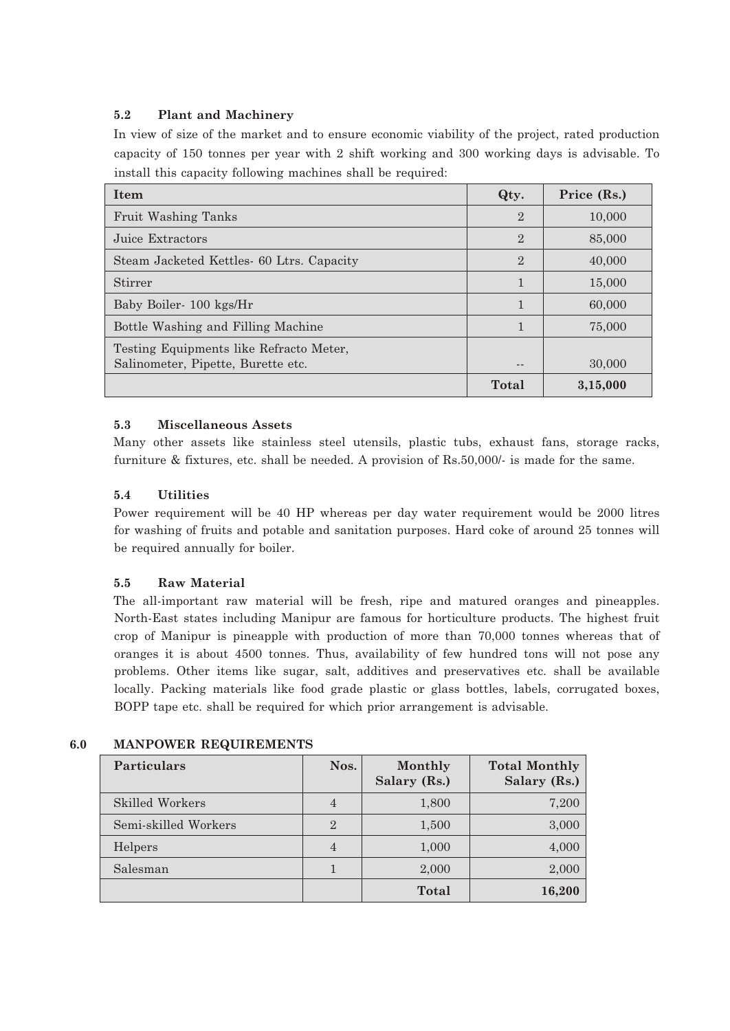### **5.2 Plant and Machinery**

In view of size of the market and to ensure economic viability of the project, rated production capacity of 150 tonnes per year with 2 shift working and 300 working days is advisable. To install this capacity following machines shall be required:

| <b>Item</b>                                                                   | Qty.           | Price (Rs.) |
|-------------------------------------------------------------------------------|----------------|-------------|
| Fruit Washing Tanks                                                           | $\overline{2}$ | 10,000      |
| Juice Extractors                                                              | $\overline{2}$ | 85,000      |
| Steam Jacketed Kettles 60 Ltrs. Capacity                                      | $\overline{2}$ | 40,000      |
| Stirrer                                                                       | $\mathbf{1}$   | 15,000      |
| Baby Boiler-100 kgs/Hr                                                        | $\mathbf{1}$   | 60,000      |
| Bottle Washing and Filling Machine                                            | $\mathbf{1}$   | 75,000      |
| Testing Equipments like Refracto Meter,<br>Salinometer, Pipette, Burette etc. |                | 30,000      |
|                                                                               | Total          | 3,15,000    |

## **5.3 Miscellaneous Assets**

Many other assets like stainless steel utensils, plastic tubs, exhaust fans, storage racks, furniture & fixtures, etc. shall be needed. A provision of Rs.50,000/- is made for the same.

## **5.4 Utilities**

Power requirement will be 40 HP whereas per day water requirement would be 2000 litres for washing of fruits and potable and sanitation purposes. Hard coke of around 25 tonnes will be required annually for boiler.

# **5.5 Raw Material**

The all-important raw material will be fresh, ripe and matured oranges and pineapples. North-East states including Manipur are famous for horticulture products. The highest fruit crop of Manipur is pineapple with production of more than 70,000 tonnes whereas that of oranges it is about 4500 tonnes. Thus, availability of few hundred tons will not pose any problems. Other items like sugar, salt, additives and preservatives etc. shall be available locally. Packing materials like food grade plastic or glass bottles, labels, corrugated boxes, BOPP tape etc. shall be required for which prior arrangement is advisable.

| Particulars            | Nos.           | Monthly<br>Salary (Rs.) | <b>Total Monthly</b><br>Salary (Rs.) |
|------------------------|----------------|-------------------------|--------------------------------------|
| <b>Skilled Workers</b> | $\overline{4}$ | 1,800                   | 7,200                                |
| Semi-skilled Workers   | $\overline{2}$ | 1,500                   | 3,000                                |
| Helpers                | $\overline{4}$ | 1,000                   | 4,000                                |
| Salesman               |                | 2,000                   | 2,000                                |
|                        |                | <b>Total</b>            | 16,200                               |

# **6.0 MANPOWER REQUIREMENTS**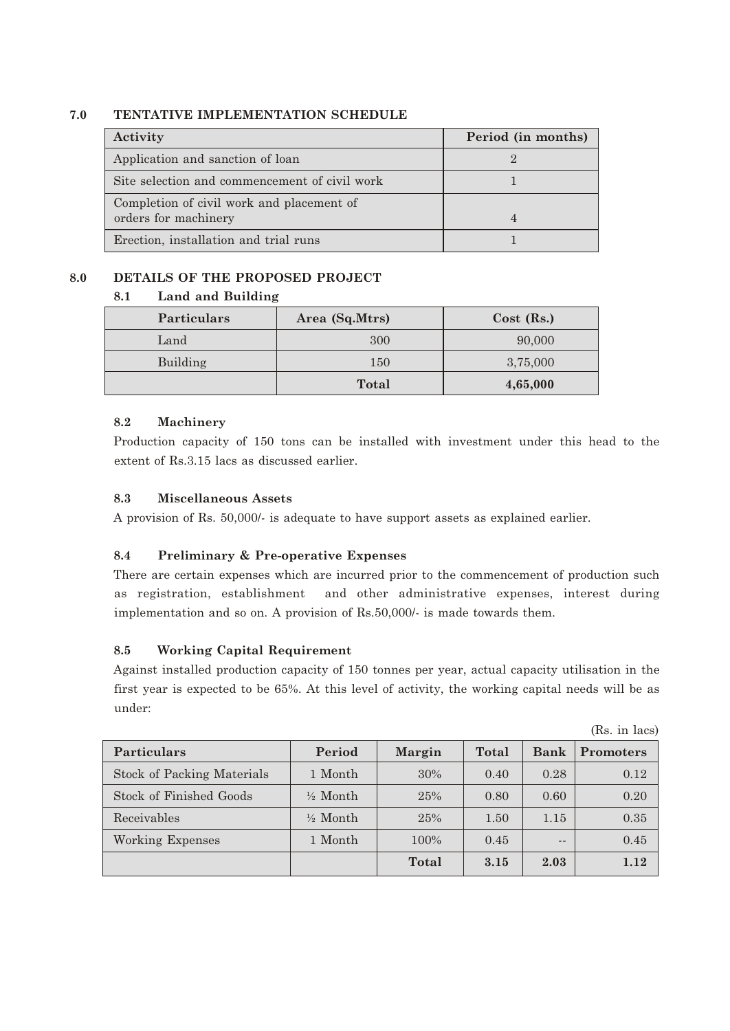## **7.0 TENTATIVE IMPLEMENTATION SCHEDULE**

| Activity                                                          | Period (in months) |
|-------------------------------------------------------------------|--------------------|
| Application and sanction of loan                                  |                    |
| Site selection and commencement of civil work                     |                    |
| Completion of civil work and placement of<br>orders for machinery |                    |
| Erection, installation and trial runs                             |                    |

# **8.0 DETAILS OF THE PROPOSED PROJECT**

## **8.1 Land and Building**

| <b>Particulars</b> | Area (Sq.Mtrs) | $Cost$ (Rs.) |
|--------------------|----------------|--------------|
| Land               | 300            | 90,000       |
| Building           | 150            | 3,75,000     |
|                    | <b>Total</b>   | 4,65,000     |

## **8.2 Machinery**

Production capacity of 150 tons can be installed with investment under this head to the extent of Rs.3.15 lacs as discussed earlier.

# **8.3 Miscellaneous Assets**

A provision of Rs. 50,000/- is adequate to have support assets as explained earlier.

# **8.4 Preliminary & Pre-operative Expenses**

There are certain expenses which are incurred prior to the commencement of production such as registration, establishment and other administrative expenses, interest during implementation and so on. A provision of Rs.50,000/- is made towards them.

# **8.5 Working Capital Requirement**

Against installed production capacity of 150 tonnes per year, actual capacity utilisation in the first year is expected to be 65%. At this level of activity, the working capital needs will be as under:

|                                   |                     |        |       |             | $\mathbf{u}$     |
|-----------------------------------|---------------------|--------|-------|-------------|------------------|
| <b>Particulars</b>                | Period              | Margin | Total | <b>Bank</b> | <b>Promoters</b> |
| <b>Stock of Packing Materials</b> | 1 Month             | $30\%$ | 0.40  | 0.28        | 0.12             |
| Stock of Finished Goods           | $\frac{1}{2}$ Month | 25%    | 0.80  | 0.60        | 0.20             |
| Receivables                       | $\frac{1}{2}$ Month | 25%    | 1.50  | 1.15        | 0.35             |
| Working Expenses                  | 1 Month             | 100%   | 0.45  | $- -$       | 0.45             |
|                                   |                     | Total  | 3.15  | 2.03        | 1.12             |

(Rs. in lacs)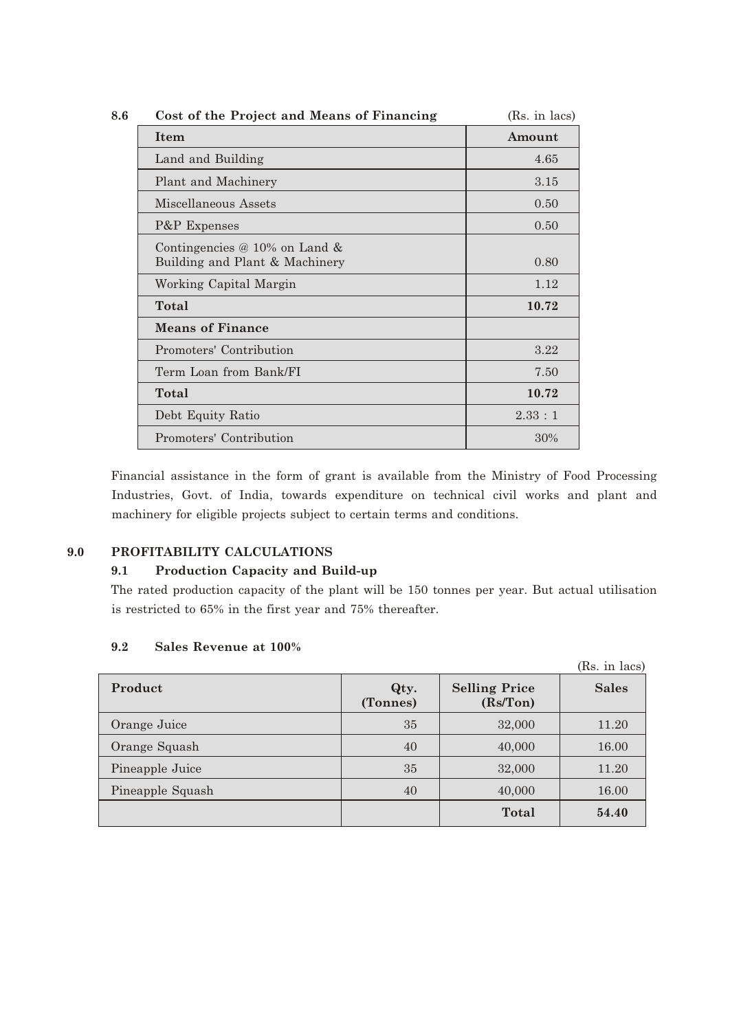| 8.6 | Cost of the Project and Means of Financing                      | (Rs. in lacs) |
|-----|-----------------------------------------------------------------|---------------|
|     | Item                                                            | Amount        |
|     | Land and Building                                               | 4.65          |
|     | Plant and Machinery                                             | 3.15          |
|     | Miscellaneous Assets                                            | 0.50          |
|     | P&P Expenses                                                    | 0.50          |
|     | Contingencies @ 10% on Land &<br>Building and Plant & Machinery | 0.80          |
|     | Working Capital Margin                                          | 1.12          |
|     | Total                                                           | 10.72         |
|     | <b>Means of Finance</b>                                         |               |
|     | Promoters' Contribution                                         | 3.22          |
|     | Term Loan from Bank/FI                                          | 7.50          |
|     | Total                                                           | 10.72         |
|     | Debt Equity Ratio                                               | 2.33:1        |
|     | Promoters' Contribution                                         | 30%           |

Financial assistance in the form of grant is available from the Ministry of Food Processing Industries, Govt. of India, towards expenditure on technical civil works and plant and machinery for eligible projects subject to certain terms and conditions.

## **9.0 PROFITABILITY CALCULATIONS**

### **9.1 Production Capacity and Build-up**

The rated production capacity of the plant will be 150 tonnes per year. But actual utilisation is restricted to 65% in the first year and 75% thereafter.

#### **9.2 Sales Revenue at 100%**

|                  |                  |                                   | (Rs. in lacs) |
|------------------|------------------|-----------------------------------|---------------|
| Product          | Qty.<br>(Tonnes) | <b>Selling Price</b><br>(Rs/ Ton) | <b>Sales</b>  |
| Orange Juice     | 35               | 32,000                            | 11.20         |
| Orange Squash    | 40               | 40,000                            | 16.00         |
| Pineapple Juice  | 35               | 32,000                            | 11.20         |
| Pineapple Squash | 40               | 40,000                            | 16.00         |
|                  |                  | <b>Total</b>                      | 54.40         |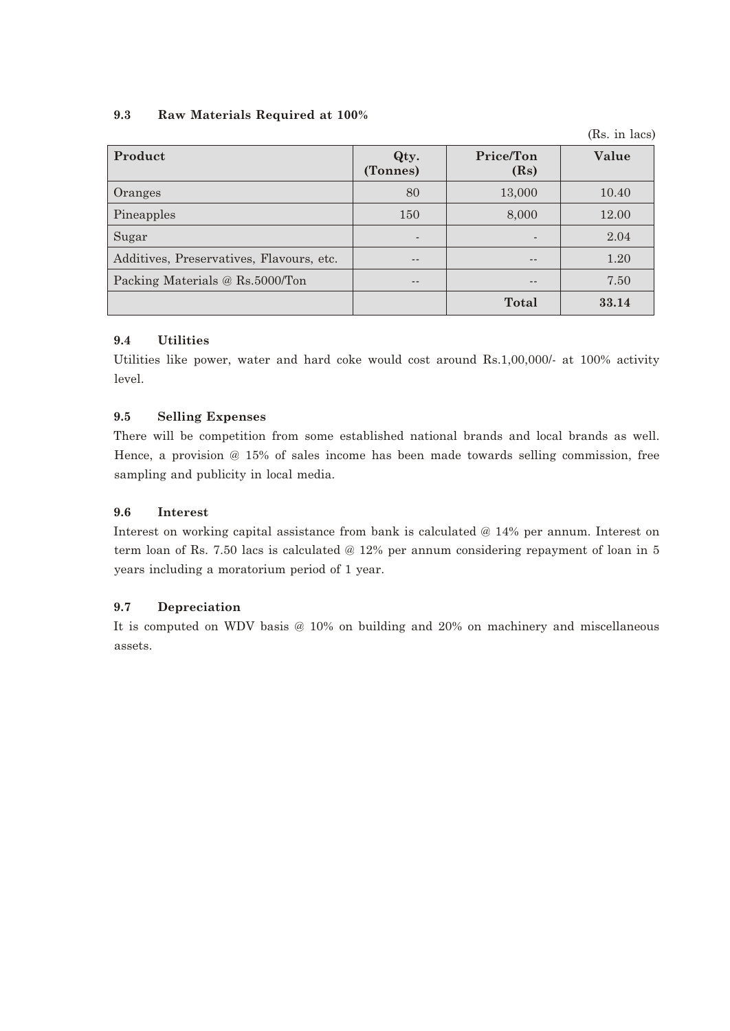## **9.3 Raw Materials Required at 100%**

(Rs. in lacs)

| Product                                  | Qty.<br>(Tonnes) | Price/Ton<br>(Rs) | Value |
|------------------------------------------|------------------|-------------------|-------|
| Oranges                                  | 80               | 13,000            | 10.40 |
| Pineapples                               | 150              | 8,000             | 12.00 |
| Sugar                                    |                  |                   | 2.04  |
| Additives, Preservatives, Flavours, etc. |                  |                   | 1.20  |
| Packing Materials @ Rs.5000/Ton          |                  |                   | 7.50  |
|                                          |                  | <b>Total</b>      | 33.14 |

## **9.4 Utilities**

Utilities like power, water and hard coke would cost around Rs.1,00,000/- at 100% activity level.

# **9.5 Selling Expenses**

There will be competition from some established national brands and local brands as well. Hence, a provision @ 15% of sales income has been made towards selling commission, free sampling and publicity in local media.

## **9.6 Interest**

Interest on working capital assistance from bank is calculated @ 14% per annum. Interest on term loan of Rs. 7.50 lacs is calculated @ 12% per annum considering repayment of loan in 5 years including a moratorium period of 1 year.

# **9.7 Depreciation**

It is computed on WDV basis @ 10% on building and 20% on machinery and miscellaneous assets.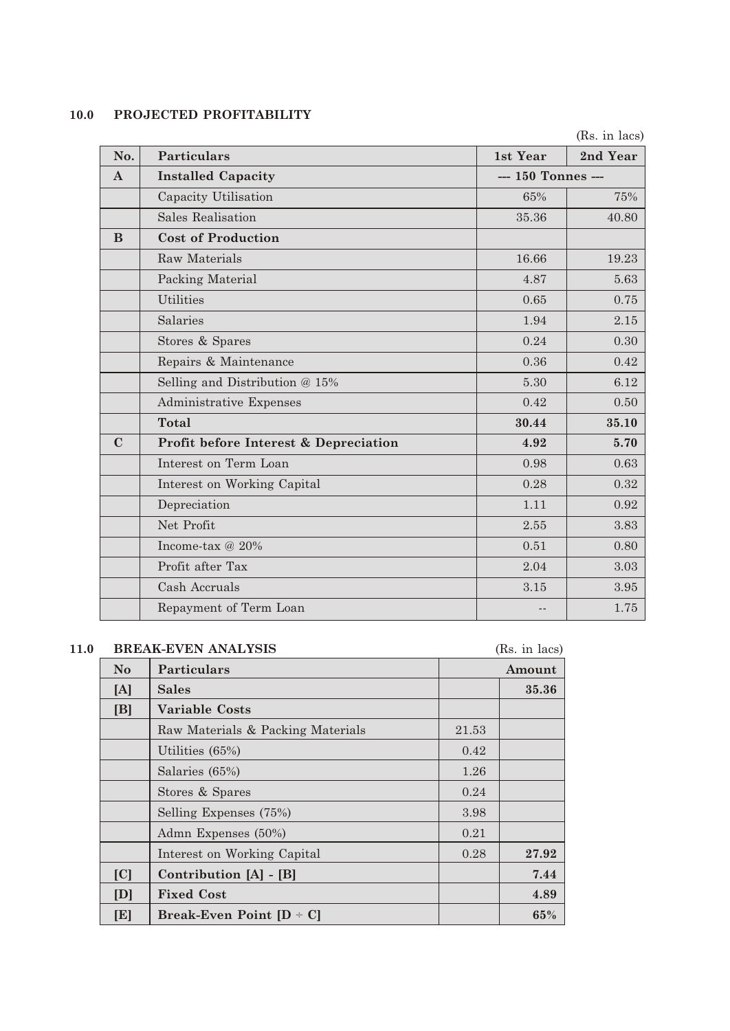# **10.0 PROJECTED PROFITABILITY**

|              |                                       |                    | (Rs. in lacs) |
|--------------|---------------------------------------|--------------------|---------------|
| No.          | <b>Particulars</b>                    | 1st Year           | 2nd Year      |
| $\mathbf{A}$ | <b>Installed Capacity</b>             | --- 150 Tonnes --- |               |
|              | Capacity Utilisation                  | 65%                | 75%           |
|              | <b>Sales Realisation</b>              | 35.36              | 40.80         |
| B            | <b>Cost of Production</b>             |                    |               |
|              | <b>Raw Materials</b>                  | 16.66              | 19.23         |
|              | Packing Material                      | 4.87               | 5.63          |
|              | <b>Utilities</b>                      | 0.65               | 0.75          |
|              | Salaries                              | 1.94               | 2.15          |
|              | Stores & Spares                       | 0.24               | 0.30          |
|              | Repairs & Maintenance                 | 0.36               | 0.42          |
|              | Selling and Distribution @ 15%        | 5.30               | 6.12          |
|              | <b>Administrative Expenses</b>        | 0.42               | 0.50          |
|              | <b>Total</b>                          | 30.44              | 35.10         |
| $\mathbf C$  | Profit before Interest & Depreciation | 4.92               | 5.70          |
|              | Interest on Term Loan                 | 0.98               | 0.63          |
|              | Interest on Working Capital           | 0.28               | 0.32          |
|              | Depreciation                          | 1.11               | 0.92          |
|              | Net Profit                            | 2.55               | 3.83          |
|              | Income-tax @ 20%                      | 0.51               | 0.80          |
|              | Profit after Tax                      | 2.04               | 3.03          |
|              | Cash Accruals                         | 3.15               | 3.95          |
|              | Repayment of Term Loan                |                    | 1.75          |

# **11.0 BREAK-EVEN ANALYSIS** (Rs. in lacs)

| $1.000$ , $1.1$ , $10.00$ |                                   |       |        |
|---------------------------|-----------------------------------|-------|--------|
| No.                       | <b>Particulars</b>                |       | Amount |
| [A]                       | Sales                             |       | 35.36  |
| [B]                       | <b>Variable Costs</b>             |       |        |
|                           | Raw Materials & Packing Materials | 21.53 |        |
|                           | Utilities $(65%)$                 | 0.42  |        |
|                           | Salaries (65%)                    | 1.26  |        |
|                           | Stores & Spares                   | 0.24  |        |
|                           | Selling Expenses (75%)            | 3.98  |        |
|                           | Admn Expenses (50%)               | 0.21  |        |
|                           | Interest on Working Capital       | 0.28  | 27.92  |
| [C]                       | Contribution [A] - [B]            |       | 7.44   |
| [D]                       | <b>Fixed Cost</b>                 |       | 4.89   |
| [E]                       | Break-Even Point $[D - C]$        |       | 65%    |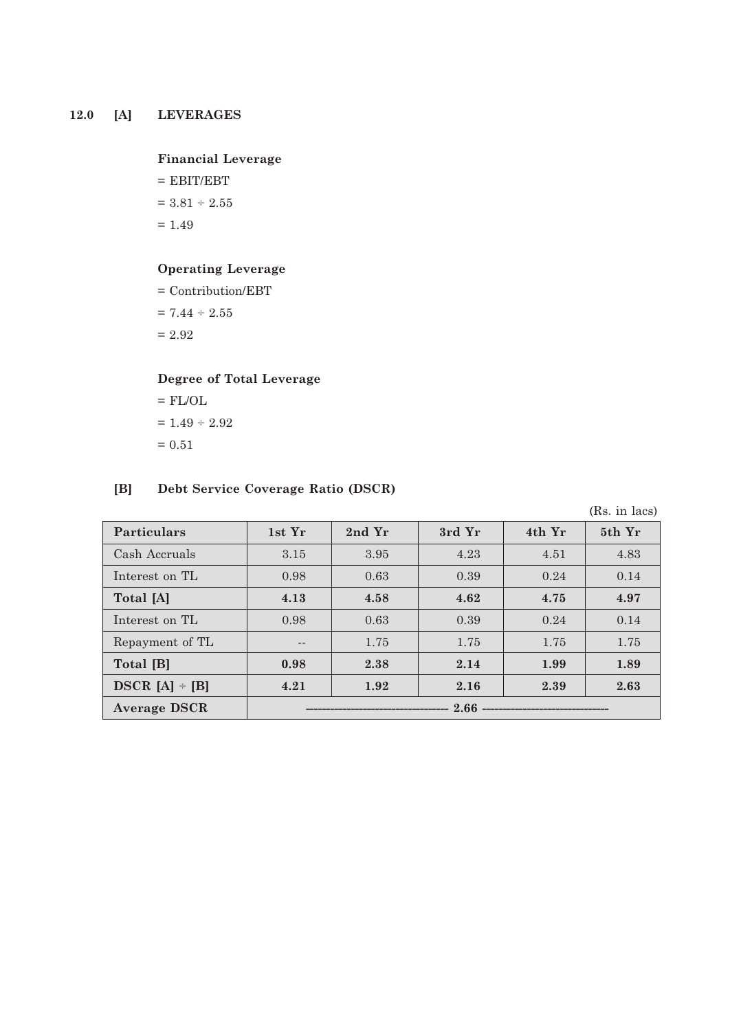# **12.0 [A] LEVERAGES**

### **Financial Leverage**

 $=$  EBIT/EBT  $= 3.81 \div 2.55$ 

 $= 1.49$ 

## **Operating Leverage**

= Contribution/EBT

 $= 7.44 \div 2.55$ 

 $= 2.92$ 

## **Degree of Total Leverage**

 $=$  FL/OL  $\,$  $= 1.49 \div 2.92$  $= 0.51$ 

### **[B] Debt Service Coverage Ratio (DSCR)**

|                     |                                  |        |        |        | (Rs. in lacs) |
|---------------------|----------------------------------|--------|--------|--------|---------------|
| <b>Particulars</b>  | 1st Yr                           | 2nd Yr | 3rd Yr | 4th Yr | 5th Yr        |
| Cash Accruals       | 3.15                             | 3.95   | 4.23   | 4.51   | 4.83          |
| Interest on TL      | 0.98                             | 0.63   | 0.39   | 0.24   | 0.14          |
| Total [A]           | 4.13                             | 4.58   | 4.62   | 4.75   | 4.97          |
| Interest on TL      | 0.98                             | 0.63   | 0.39   | 0.24   | 0.14          |
| Repayment of TL     | $- -$                            | 1.75   | 1.75   | 1.75   | 1.75          |
| Total [B]           | 0.98                             | 2.38   | 2.14   | 1.99   | 1.89          |
| $DSCR [A] \div [B]$ | 4.21                             | 1.92   | 2.16   | 2.39   | 2.63          |
| <b>Average DSCR</b> | $2.66$ ------------------------- |        |        |        |               |